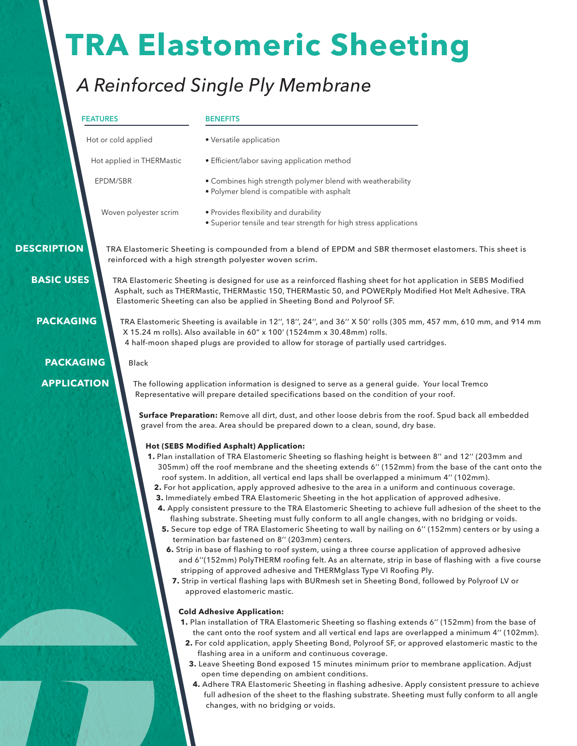# **TRA Elastomeric Sheeting**

# *A Reinforced Single Ply Membrane*

#### **FEATURES**

#### **BENEFITS**

• Versatile application

Hot or cold applied

Hot applied in THERMastic

EPDM/SBR

- Efficient/labor saving application method
- Combines high strength polymer blend with weatherability
- • Polymer blend is compatible with asphalt

Woven polyester scrim

• Provides flexibility and durability • Superior tensile and tear strength for high stress applications

 **DESCRIPTION**

 **BASIC USES**

TRA Elastomeric Sheeting is compounded from a blend of EPDM and SBR thermoset elastomers. This sheet is reinforced with a high strength polyester woven scrim.

TRA Elastomeric Sheeting is available in 12'', 18'', 24'', and 36'' X 50' rolls (305 mm, 457 mm, 610 mm, and 914 mm

TRA Elastomeric Sheeting is designed for use as a reinforced flashing sheet for hot application in SEBS Modified Asphalt, such as THERMastic, THERMastic 150, THERMastic 50, and POWERply Modified Hot Melt Adhesive. TRA Elastomeric Sheeting can also be applied in Sheeting Bond and Polyroof SF.

**PACKAGING**

**PACKAGING**

**APPLICATION**

X 15.24 m rolls). Also available in 60" x 100' (1524mm x 30.48mm) rolls. 4 half-moon shaped plugs are provided to allow for storage of partially used cartridges.

Black

#### The following application information is designed to serve as a general guide. Your local Tremco Representative will prepare detailed specifications based on the condition of your roof.

**Surface Preparation:** Remove all dirt, dust, and other loose debris from the roof. Spud back all embedded gravel from the area. Area should be prepared down to a clean, sound, dry base.

# **Hot (SEBS Modified Asphalt) Application:**

- **1.** Plan installation of TRA Elastomeric Sheeting so flashing height is between 8'' and 12'' (203mm and 305mm) off the roof membrane and the sheeting extends 6'' (152mm) from the base of the cant onto the roof system. In addition, all vertical end laps shall be overlapped a minimum 4'' (102mm).
	- **2.** For hot application, apply approved adhesive to the area in a uniform and continuous coverage.
	- **3.** Immediately embed TRA Elastomeric Sheeting in the hot application of approved adhesive.
	- **4.** Apply consistent pressure to the TRA Elastomeric Sheeting to achieve full adhesion of the sheet to the flashing substrate. Sheeting must fully conform to all angle changes, with no bridging or voids.
	- **5.** Secure top edge of TRA Elastomeric Sheeting to wall by nailing on 6'' (152mm) centers or by using a termination bar fastened on 8'' (203mm) centers.
	- **6.** Strip in base of flashing to roof system, using a three course application of approved adhesive and 6''(152mm) PolyTHERM roofing felt. As an alternate, strip in base of flashing with a five course stripping of approved adhesive and THERMglass Type VI Roofing Ply.
		- **7.** Strip in vertical flashing laps with BURmesh set in Sheeting Bond, followed by Polyroof LV or approved elastomeric mastic.

# **Cold Adhesive Application:**

- **1.** Plan installation of TRA Elastomeric Sheeting so flashing extends 6'' (152mm) from the base of the cant onto the roof system and all vertical end laps are overlapped a minimum 4'' (102mm).
	- **2.** For cold application, apply Sheeting Bond, Polyroof SF, or approved elastomeric mastic to the flashing area in a uniform and continuous coverage.
	- **3.** Leave Sheeting Bond exposed 15 minutes minimum prior to membrane application. Adjust open time depending on ambient conditions.
	- **4.** Adhere TRA Elastomeric Sheeting in flashing adhesive. Apply consistent pressure to achieve full adhesion of the sheet to the flashing substrate. Sheeting must fully conform to all angle changes, with no bridging or voids.